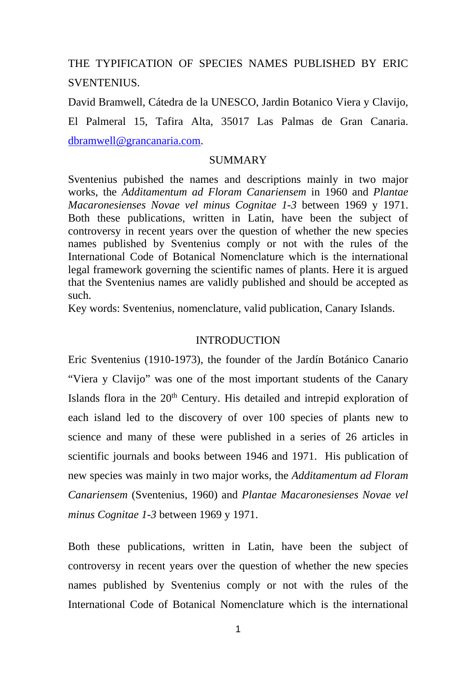THE TYPIFICATION OF SPECIES NAMES PUBLISHED BY ERIC SVENTENIUS.

David Bramwell, Cátedra de la UNESCO, Jardin Botanico Viera y Clavijo, El Palmeral 15, Tafira Alta, 35017 Las Palmas de Gran Canaria. dbramwell@grancanaria.com.

#### SUMMARY

Sventenius pubished the names and descriptions mainly in two major works, the *Additamentum ad Floram Canariensem* in 1960 and *Plantae Macaronesienses Novae vel minus Cognitae 1-3* between 1969 y 1971. Both these publications, written in Latin, have been the subject of controversy in recent years over the question of whether the new species names published by Sventenius comply or not with the rules of the International Code of Botanical Nomenclature which is the international legal framework governing the scientific names of plants. Here it is argued that the Sventenius names are validly published and should be accepted as such.

Key words: Sventenius, nomenclature, valid publication, Canary Islands.

### **INTRODUCTION**

Eric Sventenius (1910-1973), the founder of the Jardín Botánico Canario "Viera y Clavijo" was one of the most important students of the Canary Islands flora in the 20<sup>th</sup> Century. His detailed and intrepid exploration of each island led to the discovery of over 100 species of plants new to science and many of these were published in a series of 26 articles in scientific journals and books between 1946 and 1971. His publication of new species was mainly in two major works, the *Additamentum ad Floram Canariensem* (Sventenius, 1960) and *Plantae Macaronesienses Novae vel minus Cognitae 1-3* between 1969 y 1971.

Both these publications, written in Latin, have been the subject of controversy in recent years over the question of whether the new species names published by Sventenius comply or not with the rules of the International Code of Botanical Nomenclature which is the international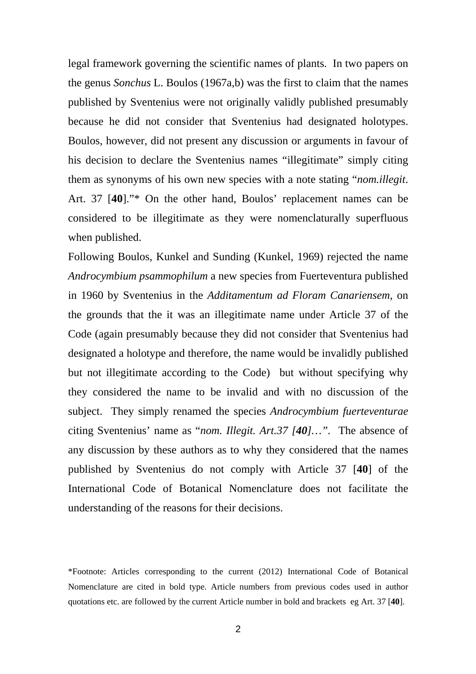legal framework governing the scientific names of plants. In two papers on the genus *Sonchus* L. Boulos (1967a,b) was the first to claim that the names published by Sventenius were not originally validly published presumably because he did not consider that Sventenius had designated holotypes. Boulos, however, did not present any discussion or arguments in favour of his decision to declare the Sventenius names "illegitimate" simply citing them as synonyms of his own new species with a note stating "*nom.illegit*. Art. 37 [**40**]."\* On the other hand, Boulos' replacement names can be considered to be illegitimate as they were nomenclaturally superfluous when published.

Following Boulos, Kunkel and Sunding (Kunkel, 1969) rejected the name *Androcymbium psammophilum* a new species from Fuerteventura published in 1960 by Sventenius in the *Additamentum ad Floram Canariensem,* on the grounds that the it was an illegitimate name under Article 37 of the Code (again presumably because they did not consider that Sventenius had designated a holotype and therefore, the name would be invalidly published but not illegitimate according to the Code) but without specifying why they considered the name to be invalid and with no discussion of the subject. They simply renamed the species *Androcymbium fuerteventurae* citing Sventenius' name as "*nom. Illegit. Art.37 [40]…".* The absence of any discussion by these authors as to why they considered that the names published by Sventenius do not comply with Article 37 [**40**] of the International Code of Botanical Nomenclature does not facilitate the understanding of the reasons for their decisions.

\*Footnote: Articles corresponding to the current (2012) International Code of Botanical Nomenclature are cited in bold type. Article numbers from previous codes used in author quotations etc. are followed by the current Article number in bold and brackets eg Art. 37 [**40**].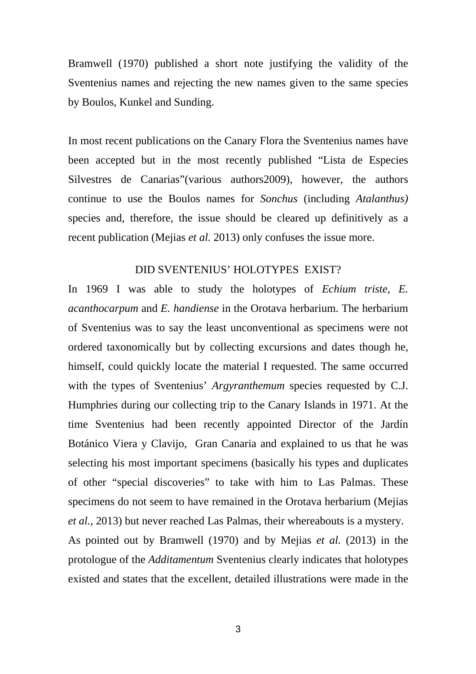Bramwell (1970) published a short note justifying the validity of the Sventenius names and rejecting the new names given to the same species by Boulos, Kunkel and Sunding.

In most recent publications on the Canary Flora the Sventenius names have been accepted but in the most recently published "Lista de Especies Silvestres de Canarias"(various authors2009), however, the authors continue to use the Boulos names for *Sonchus* (including *Atalanthus)*  species and, therefore, the issue should be cleared up definitively as a recent publication (Mejias *et al.* 2013) only confuses the issue more.

## DID SVENTENIUS' HOLOTYPES EXIST?

In 1969 I was able to study the holotypes of *Echium triste, E. acanthocarpum* and *E. handiense* in the Orotava herbarium. The herbarium of Sventenius was to say the least unconventional as specimens were not ordered taxonomically but by collecting excursions and dates though he, himself, could quickly locate the material I requested. The same occurred with the types of Sventenius' *Argyranthemum* species requested by C.J. Humphries during our collecting trip to the Canary Islands in 1971. At the time Sventenius had been recently appointed Director of the Jardín Botánico Viera y Clavijo, Gran Canaria and explained to us that he was selecting his most important specimens (basically his types and duplicates of other "special discoveries" to take with him to Las Palmas. These specimens do not seem to have remained in the Orotava herbarium (Mejias *et al.,* 2013) but never reached Las Palmas, their whereabouts is a mystery.

As pointed out by Bramwell (1970) and by Mejias *et al.* (2013) in the protologue of the *Additamentum* Sventenius clearly indicates that holotypes existed and states that the excellent, detailed illustrations were made in the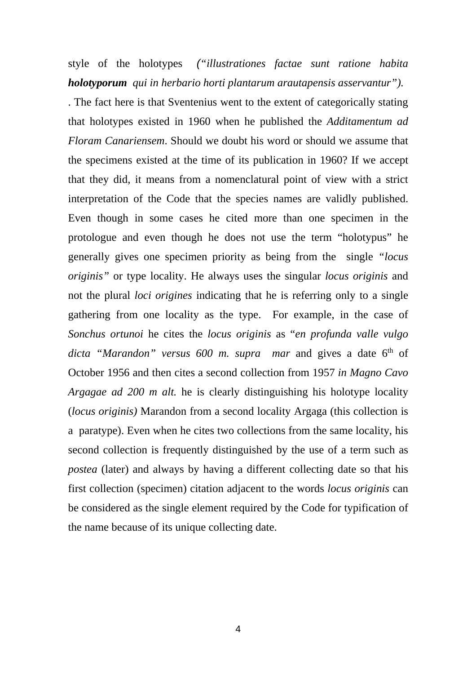style of the holotypes *("illustrationes factae sunt ratione habita holotyporum qui in herbario horti plantarum arautapensis asservantur").*

. The fact here is that Sventenius went to the extent of categorically stating that holotypes existed in 1960 when he published the *Additamentum ad Floram Canariensem*. Should we doubt his word or should we assume that the specimens existed at the time of its publication in 1960? If we accept that they did, it means from a nomenclatural point of view with a strict interpretation of the Code that the species names are validly published. Even though in some cases he cited more than one specimen in the protologue and even though he does not use the term "holotypus" he generally gives one specimen priority as being from the single *"locus originis"* or type locality. He always uses the singular *locus originis* and not the plural *loci origines* indicating that he is referring only to a single gathering from one locality as the type. For example, in the case of *Sonchus ortunoi* he cites the *locus originis* as "*en profunda valle vulgo*  dicta "Marandon" versus 600 m. supra mar and gives a date 6<sup>th</sup> of October 1956 and then cites a second collection from 1957 *in Magno Cavo Argagae ad 200 m alt.* he is clearly distinguishing his holotype locality (*locus originis)* Marandon from a second locality Argaga (this collection is a paratype). Even when he cites two collections from the same locality, his second collection is frequently distinguished by the use of a term such as *postea* (later) and always by having a different collecting date so that his first collection (specimen) citation adjacent to the words *locus originis* can be considered as the single element required by the Code for typification of the name because of its unique collecting date.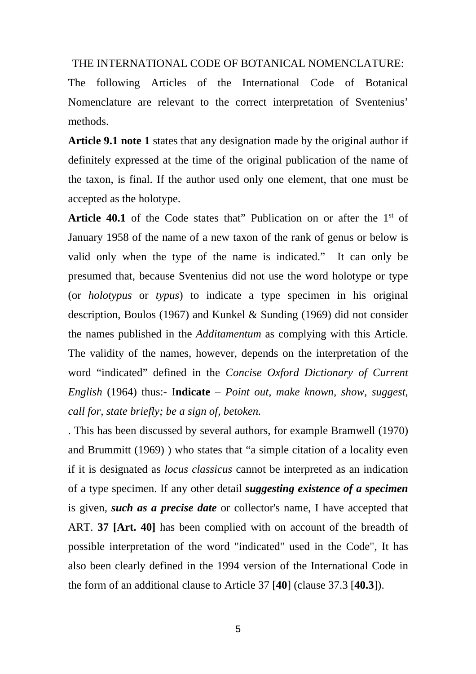#### THE INTERNATIONAL CODE OF BOTANICAL NOMENCLATURE:

The following Articles of the International Code of Botanical Nomenclature are relevant to the correct interpretation of Sventenius' methods.

**Article 9.1 note 1** states that any designation made by the original author if definitely expressed at the time of the original publication of the name of the taxon, is final. If the author used only one element, that one must be accepted as the holotype.

**Article 40.1** of the Code states that" Publication on or after the  $1<sup>st</sup>$  of January 1958 of the name of a new taxon of the rank of genus or below is valid only when the type of the name is indicated." It can only be presumed that, because Sventenius did not use the word holotype or type (or *holotypus* or *typus*) to indicate a type specimen in his original description, Boulos (1967) and Kunkel & Sunding (1969) did not consider the names published in the *Additamentum* as complying with this Article. The validity of the names, however, depends on the interpretation of the word "indicated" defined in the *Concise Oxford Dictionary of Current English* (1964) thus:- I**ndicate** – *Point out, make known, show, suggest, call for, state briefly; be a sign of, betoken.* 

. This has been discussed by several authors, for example Bramwell (1970) and Brummitt (1969) ) who states that "a simple citation of a locality even if it is designated as *locus classicus* cannot be interpreted as an indication of a type specimen. If any other detail *suggesting existence of a specimen* is given, *such as a precise date* or collector's name, I have accepted that ART. **37 [Art. 40]** has been complied with on account of the breadth of possible interpretation of the word "indicated" used in the Code", It has also been clearly defined in the 1994 version of the International Code in the form of an additional clause to Article 37 [**40**] (clause 37.3 [**40.3**]).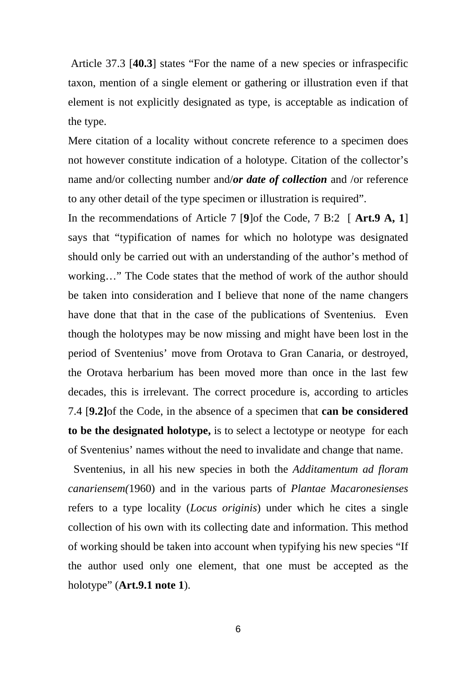Article 37.3 [**40.3**] states "For the name of a new species or infraspecific taxon, mention of a single element or gathering or illustration even if that element is not explicitly designated as type, is acceptable as indication of the type.

Mere citation of a locality without concrete reference to a specimen does not however constitute indication of a holotype. Citation of the collector's name and/or collecting number and/*or date of collection* and /or reference to any other detail of the type specimen or illustration is required".

In the recommendations of Article 7 [**9**]of the Code, 7 B:2 [ **Art.9 A, 1**] says that "typification of names for which no holotype was designated should only be carried out with an understanding of the author's method of working…" The Code states that the method of work of the author should be taken into consideration and I believe that none of the name changers have done that that in the case of the publications of Sventenius. Even though the holotypes may be now missing and might have been lost in the period of Sventenius' move from Orotava to Gran Canaria, or destroyed, the Orotava herbarium has been moved more than once in the last few decades, this is irrelevant. The correct procedure is, according to articles 7.4 [**9.2]**of the Code, in the absence of a specimen that **can be considered to be the designated holotype,** is to select a lectotype or neotype for each of Sventenius' names without the need to invalidate and change that name.

 Sventenius, in all his new species in both the *Additamentum ad floram canariensem(*1960) and in the various parts of *Plantae Macaronesienses*  refers to a type locality (*Locus originis*) under which he cites a single collection of his own with its collecting date and information. This method of working should be taken into account when typifying his new species "If the author used only one element, that one must be accepted as the holotype" (**Art.9.1 note 1**).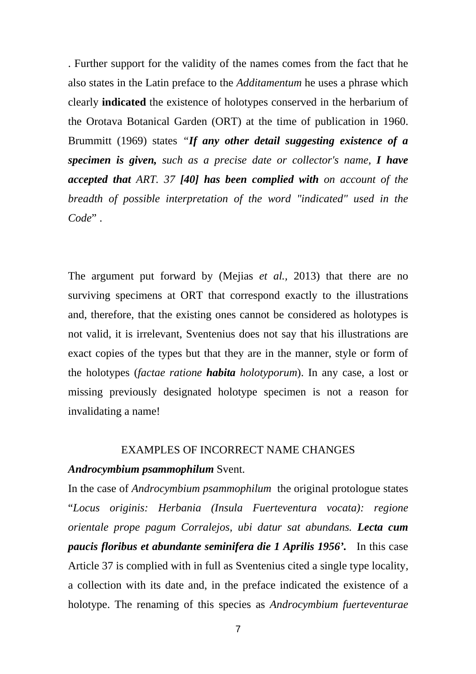. Further support for the validity of the names comes from the fact that he also states in the Latin preface to the *Additamentum* he uses a phrase which clearly **indicated** the existence of holotypes conserved in the herbarium of the Orotava Botanical Garden (ORT) at the time of publication in 1960. Brummitt (1969) states *"If any other detail suggesting existence of a specimen is given, such as a precise date or collector's name, I have accepted that ART. 37 [40] has been complied with on account of the breadth of possible interpretation of the word "indicated" used in the Code*" .

The argument put forward by (Mejias *et al.,* 2013) that there are no surviving specimens at ORT that correspond exactly to the illustrations and, therefore, that the existing ones cannot be considered as holotypes is not valid, it is irrelevant, Sventenius does not say that his illustrations are exact copies of the types but that they are in the manner, style or form of the holotypes (*factae ratione habita holotyporum*). In any case, a lost or missing previously designated holotype specimen is not a reason for invalidating a name!

#### EXAMPLES OF INCORRECT NAME CHANGES

### *Androcymbium psammophilum* Svent.

In the case of *Androcymbium psammophilum* the original protologue states "*Locus originis: Herbania (Insula Fuerteventura vocata): regione orientale prope pagum Corralejos, ubi datur sat abundans. Lecta cum paucis floribus et abundante seminifera die 1 Aprilis 1956'.* In this case Article 37 is complied with in full as Sventenius cited a single type locality, a collection with its date and, in the preface indicated the existence of a holotype. The renaming of this species as *Androcymbium fuerteventurae*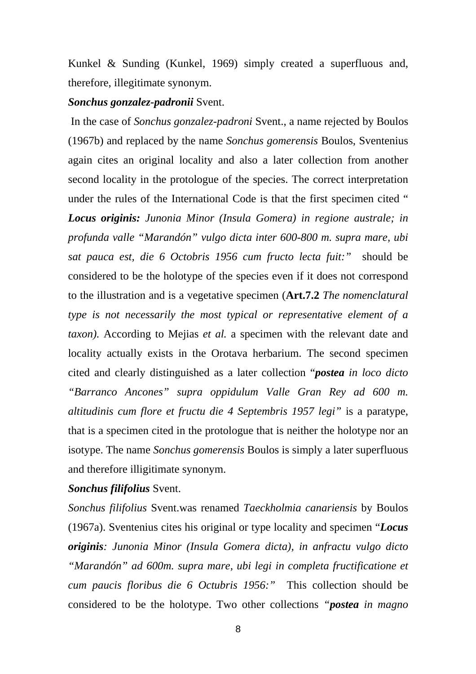Kunkel & Sunding (Kunkel, 1969) simply created a superfluous and, therefore, illegitimate synonym.

## *Sonchus gonzalez-padronii* Svent.

 In the case of *Sonchus gonzalez-padroni* Svent., a name rejected by Boulos (1967b) and replaced by the name *Sonchus gomerensis* Boulos, Sventenius again cites an original locality and also a later collection from another second locality in the protologue of the species. The correct interpretation under the rules of the International Code is that the first specimen cited " *Locus originis: Junonia Minor (Insula Gomera) in regione australe; in profunda valle "Marandón" vulgo dicta inter 600-800 m. supra mare, ubi sat pauca est, die 6 Octobris 1956 cum fructo lecta fuit:"* should be considered to be the holotype of the species even if it does not correspond to the illustration and is a vegetative specimen (**Art.7.2** *The nomenclatural type is not necessarily the most typical or representative element of a taxon).* According to Mejias *et al.* a specimen with the relevant date and locality actually exists in the Orotava herbarium. The second specimen cited and clearly distinguished as a later collection "*postea in loco dicto "Barranco Ancones" supra oppidulum Valle Gran Rey ad 600 m. altitudinis cum flore et fructu die 4 Septembris 1957 legi"* is a paratype, that is a specimen cited in the protologue that is neither the holotype nor an isotype. The name *Sonchus gomerensis* Boulos is simply a later superfluous and therefore illigitimate synonym.

## *Sonchus filifolius* Svent.

*Sonchus filifolius* Svent.was renamed *Taeckholmia canariensis* by Boulos (1967a). Sventenius cites his original or type locality and specimen "*Locus originis: Junonia Minor (Insula Gomera dicta), in anfractu vulgo dicto "Marandón" ad 600m. supra mare, ubi legi in completa fructificatione et cum paucis floribus die 6 Octubris 1956:"* This collection should be considered to be the holotype. Two other collections *"postea in magno*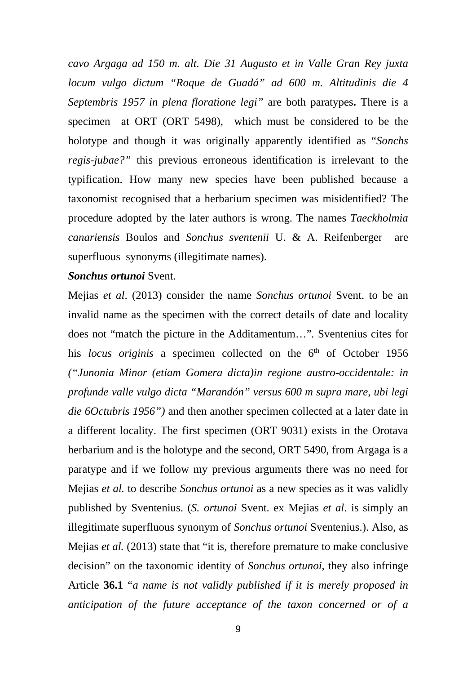*cavo Argaga ad 150 m. alt. Die 31 Augusto et in Valle Gran Rey juxta locum vulgo dictum "Roque de Guadá" ad 600 m. Altitudinis die 4 Septembris 1957 in plena floratione legi"* are both paratypes**.** There is a specimen at ORT (ORT 5498), which must be considered to be the holotype and though it was originally apparently identified as "*Sonchs regis-jubae?"* this previous erroneous identification is irrelevant to the typification. How many new species have been published because a taxonomist recognised that a herbarium specimen was misidentified? The procedure adopted by the later authors is wrong. The names *Taeckholmia canariensis* Boulos and *Sonchus sventenii* U. & A. Reifenberger are superfluous synonyms (illegitimate names).

### *Sonchus ortunoi* Svent.

Mejias *et al*. (2013) consider the name *Sonchus ortunoi* Svent. to be an invalid name as the specimen with the correct details of date and locality does not "match the picture in the Additamentum…"*.* Sventenius cites for his *locus originis* a specimen collected on the 6<sup>th</sup> of October 1956 *("Junonia Minor (etiam Gomera dicta)in regione austro-occidentale: in profunde valle vulgo dicta "Marandón" versus 600 m supra mare, ubi legi die 6Octubris 1956")* and then another specimen collected at a later date in a different locality. The first specimen (ORT 9031) exists in the Orotava herbarium and is the holotype and the second, ORT 5490, from Argaga is a paratype and if we follow my previous arguments there was no need for Mejias *et al.* to describe *Sonchus ortunoi* as a new species as it was validly published by Sventenius. (*S. ortunoi* Svent. ex Mejias *et al*. is simply an illegitimate superfluous synonym of *Sonchus ortunoi* Sventenius.). Also, as Mejias *et al.* (2013) state that "it is, therefore premature to make conclusive decision" on the taxonomic identity of *Sonchus ortunoi*, they also infringe Article **36.1** "*a name is not validly published if it is merely proposed in anticipation of the future acceptance of the taxon concerned or of a*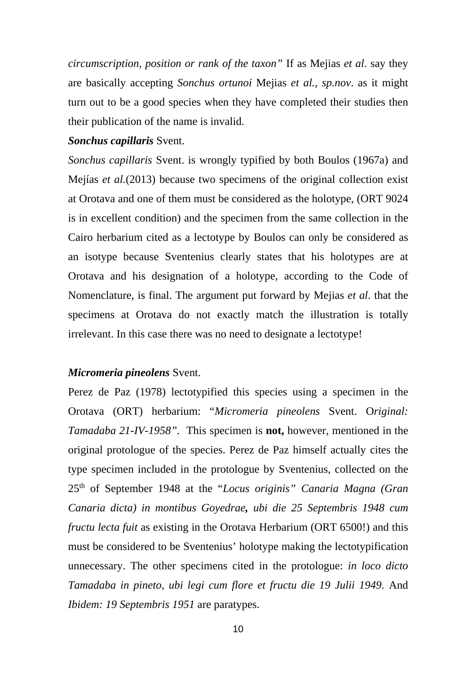*circumscription, position or rank of the taxon"* If as Mejias *et al*. say they are basically accepting *Sonchus ortunoi* Mejias *et al., sp.nov*. as it might turn out to be a good species when they have completed their studies then their publication of the name is invalid.

## *Sonchus capillaris* Svent.

*Sonchus capillaris* Svent. is wrongly typified by both Boulos (1967a) and Mejías *et al.*(2013) because two specimens of the original collection exist at Orotava and one of them must be considered as the holotype, (ORT 9024 is in excellent condition) and the specimen from the same collection in the Cairo herbarium cited as a lectotype by Boulos can only be considered as an isotype because Sventenius clearly states that his holotypes are at Orotava and his designation of a holotype, according to the Code of Nomenclature, is final. The argument put forward by Mejias *et al*. that the specimens at Orotava do not exactly match the illustration is totally irrelevant. In this case there was no need to designate a lectotype!

# *Micromeria pineolens* Svent.

Perez de Paz (1978) lectotypified this species using a specimen in the Orotava (ORT) herbarium: "*Micromeria pineolens* Svent. O*riginal: Tamadaba 21-IV-1958".* This specimen is **not,** however, mentioned in the original protologue of the species. Perez de Paz himself actually cites the type specimen included in the protologue by Sventenius, collected on the 25th of September 1948 at the "*Locus originis" Canaria Magna (Gran Canaria dicta) in montibus Goyedrae, ubi die 25 Septembris 1948 cum fructu lecta fuit* as existing in the Orotava Herbarium (ORT 6500!) and this must be considered to be Sventenius' holotype making the lectotypification unnecessary. The other specimens cited in the protologue: *in loco dicto Tamadaba in pineto, ubi legi cum flore et fructu die 19 Julii 1949.* And *Ibidem: 19 Septembris 1951* are paratypes.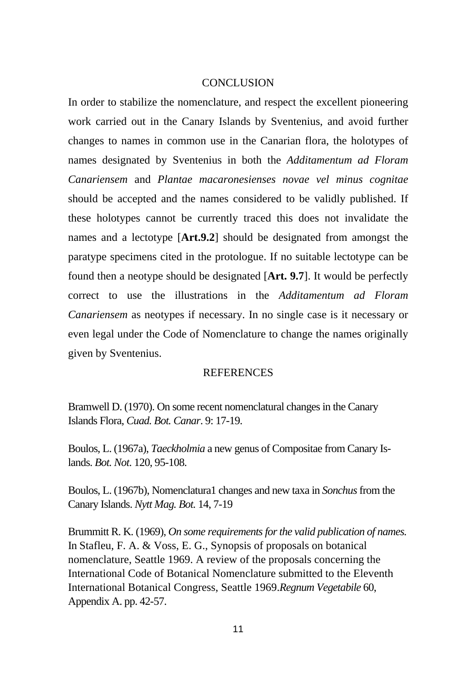### **CONCLUSION**

In order to stabilize the nomenclature, and respect the excellent pioneering work carried out in the Canary Islands by Sventenius, and avoid further changes to names in common use in the Canarian flora, the holotypes of names designated by Sventenius in both the *Additamentum ad Floram Canariensem* and *Plantae macaronesienses novae vel minus cognitae* should be accepted and the names considered to be validly published. If these holotypes cannot be currently traced this does not invalidate the names and a lectotype [**Art.9.2**] should be designated from amongst the paratype specimens cited in the protologue. If no suitable lectotype can be found then a neotype should be designated [**Art. 9.7**]. It would be perfectly correct to use the illustrations in the *Additamentum ad Floram Canariensem* as neotypes if necessary. In no single case is it necessary or even legal under the Code of Nomenclature to change the names originally given by Sventenius.

## **REFERENCES**

Bramwell D. (1970). On some recent nomenclatural changes in the Canary Islands Flora, *Cuad. Bot. Canar*. 9: 17-19.

Boulos, L. (1967a), *Taeckholmia* a new genus of Compositae from Canary Islands. *Bot. Not*. 120, 95-108.

Boulos, L. (1967b), Nomenclatura1 changes and new taxa in *Sonchus* from the Canary Islands. *Nytt Mag. Bot.* 14, 7-19

Brummitt R. K. (1969), *On some requirements for the valid publication of names.* In Stafleu, F. A. & Voss, E. G., Synopsis of proposals on botanical nomenclature, Seattle 1969. A review of the proposals concerning the International Code of Botanical Nomenclature submitted to the Eleventh International Botanical Congress, Seattle 1969.*Regnum Vegetabile* 60, Appendix A. pp. 42-57.